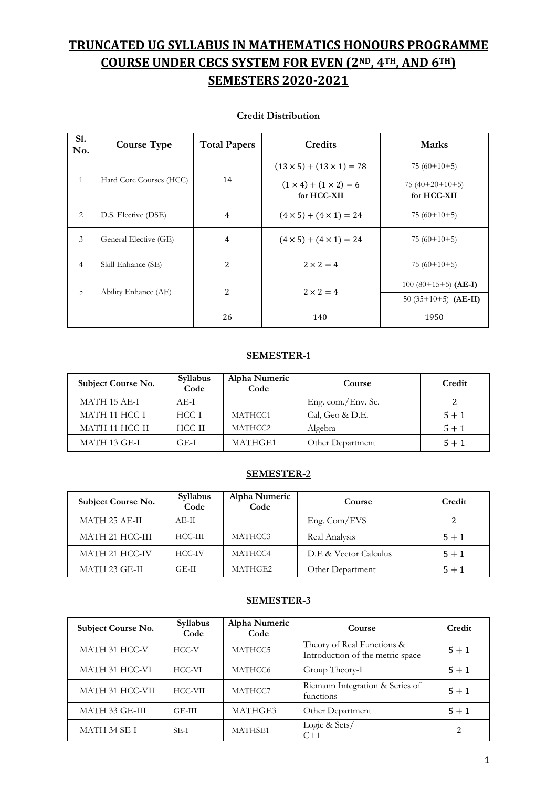# **TRUNCATED UG SYLLABUS IN MATHEMATICS HONOURS PROGRAMME COURSE UNDER CBCS SYSTEM FOR EVEN (2ND, 4TH, AND 6TH) SEMESTERS 2020-2021**

| S1.<br>No.     | <b>Course Type</b>      | <b>Total Papers</b> | Credits                                          | <b>Marks</b>                    |
|----------------|-------------------------|---------------------|--------------------------------------------------|---------------------------------|
|                |                         |                     | $(13 \times 5) + (13 \times 1) = 78$             | $75(60+10+5)$                   |
| $\mathbf{1}$   | Hard Core Courses (HCC) | 14                  | $(1 \times 4) + (1 \times 2) = 6$<br>for HCC-XII | $75(40+20+10+5)$<br>for HCC-XII |
| $\overline{2}$ | D.S. Elective (DSE)     | $\overline{4}$      | $(4 \times 5) + (4 \times 1) = 24$               | $75(60+10+5)$                   |
| 3              | General Elective (GE)   | 4                   | $(4 \times 5) + (4 \times 1) = 24$               | $75(60+10+5)$                   |
| $\overline{4}$ | Skill Enhance (SE)      | 2                   | $2 \times 2 = 4$                                 | $75(60+10+5)$                   |
| 5              |                         |                     | $2 \times 2 = 4$                                 | $100(80+15+5)$ (AE-I)           |
|                | Ability Enhance (AE)    | 2                   |                                                  | 50 $(35+10+5)$ (AE-II)          |
|                |                         | 26                  | 140                                              | 1950                            |

#### **Credit Distribution**

#### **SEMESTER-1**

| Subject Course No. | Syllabus<br>Code | Alpha Numeric<br>Code | Course             | Credit  |
|--------------------|------------------|-----------------------|--------------------|---------|
| MATH 15 AE-I       | $AE-I$           |                       | Eng. com./Env. Sc. |         |
| MATH 11 HCC-I      | HCC-I            | MATHCC1               | Cal, Geo & D.E.    | $5 + 1$ |
| MATH 11 HCC-II     | $HCC-II$         | MATHCC2               | Algebra            | $5 + 1$ |
| MATH 13 GE-I       | GE-I             | MATHGE1               | Other Department   | $5 + 1$ |

#### **SEMESTER-2**

| Subject Course No. | Syllabus<br>Code | Alpha Numeric<br>Code | Course                | Credit  |
|--------------------|------------------|-----------------------|-----------------------|---------|
| MATH 25 AE-II      | AE-H             |                       | Eng. Com/EVS          |         |
| MATH 21 HCC-III    | $HCC-III$        | MATHCC3               | Real Analysis         | $5 + 1$ |
| MATH 21 HCC-IV     | HCC-IV           | MATHCC4               | D.E & Vector Calculus | $5 + 1$ |
| MATH 23 GE-II      | GE-II            | MATHGE2               | Other Department      | $5 + 1$ |

#### **SEMESTER-3**

| Subject Course No. | Syllabus<br>Code | Alpha Numeric<br>Code | Course                                                         | Credit  |
|--------------------|------------------|-----------------------|----------------------------------------------------------------|---------|
| MATH 31 HCC-V      | HCC-V            | MATHCC5               | Theory of Real Functions &<br>Introduction of the metric space | $5 + 1$ |
| MATH 31 HCC-VI     | HCC-VI           | MATHCC6               | Group Theory-I                                                 | $5 + 1$ |
| MATH 31 HCC-VII    | HCC-VII          | MATHCC7               | Riemann Integration & Series of<br>functions                   | $5 + 1$ |
| MATH 33 GE-III     | GE-III           | MATHGE3               | Other Department                                               | $5 + 1$ |
| MATH 34 SE-I       | SE-I             | MATHSE1               | Logic & Sets/<br>$C++$                                         | っ       |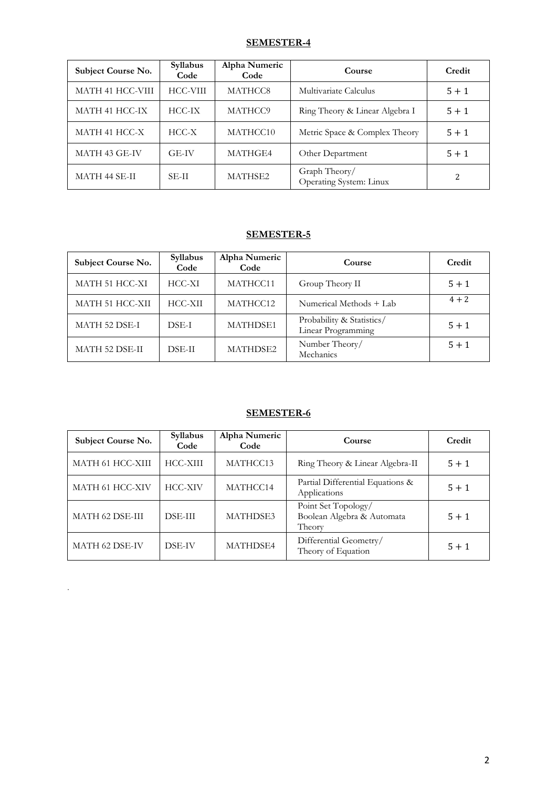#### **SEMESTER-4**

| Subject Course No. | Syllabus<br>Code | Alpha Numeric<br>Code | Course                                   | Credit  |
|--------------------|------------------|-----------------------|------------------------------------------|---------|
| MATH 41 HCC-VIII   | HCC-VIII         | MATHCC8               | Multivariate Calculus                    | $5 + 1$ |
| MATH 41 HCC-IX     | HCC-IX           | MATHCC9               | Ring Theory & Linear Algebra I           | $5 + 1$ |
| MATH 41 HCC-X      | $HCC-X$          | MATHCC10              | Metric Space & Complex Theory            | $5 + 1$ |
| MATH 43 GE-IV      | GE-IV            | MATHGE4               | Other Department                         | $5 + 1$ |
| MATH 44 SE-II      | <b>SE-II</b>     | MATHSE2               | Graph Theory/<br>Operating System: Linux | 2       |

#### **SEMESTER-5**

| Subject Course No.    | Syllabus<br>Code | Alpha Numeric<br>Code | Course                                          | Credit  |
|-----------------------|------------------|-----------------------|-------------------------------------------------|---------|
| MATH 51 HCC-XI        | HCC-XI           | MATHCC11              | Group Theory II                                 | $5 + 1$ |
| MATH 51 HCC-XII       | HCC-XII          | MATHCC12              | Numerical Methods + Lab                         | $4 + 2$ |
| <b>MATH 52 DSE-I</b>  | DSE-I            | <b>MATHDSE1</b>       | Probability & Statistics/<br>Linear Programming | $5 + 1$ |
| <b>MATH 52 DSE-II</b> | <b>DSE-II</b>    | <b>MATHDSE2</b>       | Number Theory/<br>Mechanics                     | $5 + 1$ |

#### **SEMESTER-6**

| <b>Subject Course No.</b> | Syllabus<br>Code | Alpha Numeric<br>Code | Course                                                      | Credit  |
|---------------------------|------------------|-----------------------|-------------------------------------------------------------|---------|
| MATH 61 HCC-XIII          | HCC-XIII         | MATHCC13              | Ring Theory & Linear Algebra-II                             | $5 + 1$ |
| MATH 61 HCC-XIV           | <b>HCC-XIV</b>   | MATHCC14              | Partial Differential Equations &<br>Applications            | $5 + 1$ |
| MATH 62 DSE-III           | <b>DSE-III</b>   | MATHDSE3              | Point Set Topology/<br>Boolean Algebra & Automata<br>Theory | $5 + 1$ |
| <b>MATH 62 DSE-IV</b>     | DSE-IV           | <b>MATHDSE4</b>       | Differential Geometry/<br>Theory of Equation                | $5 + 1$ |

.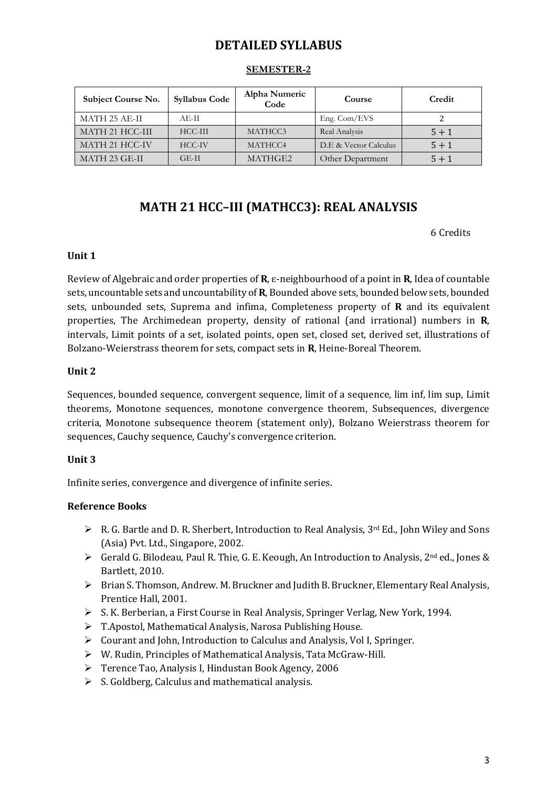### **DETAILED SYLLABUS**

| Subject Course No. | <b>Syllabus Code</b> | Alpha Numeric<br>Code | Course                | Credit  |
|--------------------|----------------------|-----------------------|-----------------------|---------|
| MATH 25 AE-II      | AE-H                 |                       | Eng. Com/EVS          |         |
| MATH 21 HCC-III    | $HCC-III$            | MATHCC3               | Real Analysis         | $5 + 1$ |
| MATH 21 HCC-IV     | HCC-IV               | MATHCC4               | D.E & Vector Calculus | $5 + 1$ |
| MATH 23 GE-II      | GE-II                | MATHGE2               | Other Department      | $5 + 1$ |

#### **SEMESTER-2**

### **MATH 21 HCC–III (MATHCC3): REAL ANALYSIS**

6 Credits

#### **Unit 1**

Review of Algebraic and order properties of **R**, ɛ-neighbourhood of a point in **R**, Idea of countable sets, uncountable sets and uncountability of **R**, Bounded above sets, bounded below sets, bounded sets, unbounded sets, Suprema and infima, Completeness property of **R** and its equivalent properties, The Archimedean property, density of rational (and irrational) numbers in **R**, intervals, Limit points of a set, isolated points, open set, closed set, derived set, illustrations of Bolzano-Weierstrass theorem for sets, compact sets in **R**, Heine-Boreal Theorem.

#### **Unit 2**

Sequences, bounded sequence, convergent sequence, limit of a sequence, lim inf, lim sup, Limit theorems, Monotone sequences, monotone convergence theorem, Subsequences, divergence criteria, Monotone subsequence theorem (statement only), Bolzano Weierstrass theorem for sequences, Cauchy sequence, Cauchy's convergence criterion.

#### **Unit 3**

Infinite series, convergence and divergence of infinite series.

- $\triangleright$  R. G. Bartle and D. R. Sherbert, Introduction to Real Analysis, 3<sup>rd</sup> Ed., John Wiley and Sons (Asia) Pvt. Ltd., Singapore, 2002.
- ▶ Gerald G. Bilodeau, Paul R. Thie, G. E. Keough, An Introduction to Analysis, 2<sup>nd</sup> ed., Jones & Bartlett, 2010.
- Brian S. Thomson, Andrew. M. Bruckner and Judith B. Bruckner, Elementary Real Analysis, Prentice Hall, 2001.
- S. K. Berberian, a First Course in Real Analysis, Springer Verlag, New York, 1994.
- T.Apostol, Mathematical Analysis, Narosa Publishing House.
- Courant and John, Introduction to Calculus and Analysis, Vol I, Springer.
- W. Rudin, Principles of Mathematical Analysis, Tata McGraw-Hill.
- Terence Tao, Analysis I, Hindustan Book Agency, 2006
- $\triangleright$  S. Goldberg, Calculus and mathematical analysis.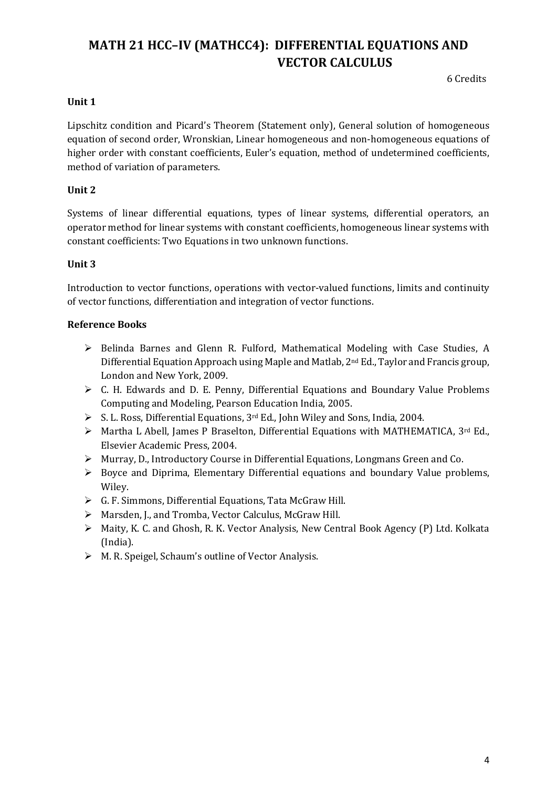# **MATH 21 HCC–IV (MATHCC4): DIFFERENTIAL EQUATIONS AND VECTOR CALCULUS**

6 Credits

#### **Unit 1**

Lipschitz condition and Picard's Theorem (Statement only), General solution of homogeneous equation of second order, Wronskian, Linear homogeneous and non-homogeneous equations of higher order with constant coefficients, Euler's equation, method of undetermined coefficients, method of variation of parameters.

#### **Unit 2**

Systems of linear differential equations, types of linear systems, differential operators, an operator method for linear systems with constant coefficients, homogeneous linear systems with constant coefficients: Two Equations in two unknown functions.

#### **Unit 3**

Introduction to vector functions, operations with vector-valued functions, limits and continuity of vector functions, differentiation and integration of vector functions.

- Belinda Barnes and Glenn R. Fulford, Mathematical Modeling with Case Studies, A Differential Equation Approach using Maple and Matlab, 2nd Ed., Taylor and Francis group, London and New York, 2009.
- C. H. Edwards and D. E. Penny, Differential Equations and Boundary Value Problems Computing and Modeling, Pearson Education India, 2005.
- $\triangleright$  S. L. Ross, Differential Equations, 3<sup>rd</sup> Ed., John Wiley and Sons, India, 2004.
- > Martha L Abell, James P Braselton, Differential Equations with MATHEMATICA, 3rd Ed., Elsevier Academic Press, 2004.
- $\triangleright$  Murray, D., Introductory Course in Differential Equations, Longmans Green and Co.
- $\triangleright$  Boyce and Diprima, Elementary Differential equations and boundary Value problems, Wiley.
- G. F. Simmons, Differential Equations, Tata McGraw Hill.
- Marsden, J., and Tromba, Vector Calculus, McGraw Hill.
- Maity, K. C. and Ghosh, R. K. Vector Analysis, New Central Book Agency (P) Ltd. Kolkata (India).
- M. R. Speigel, Schaum's outline of Vector Analysis.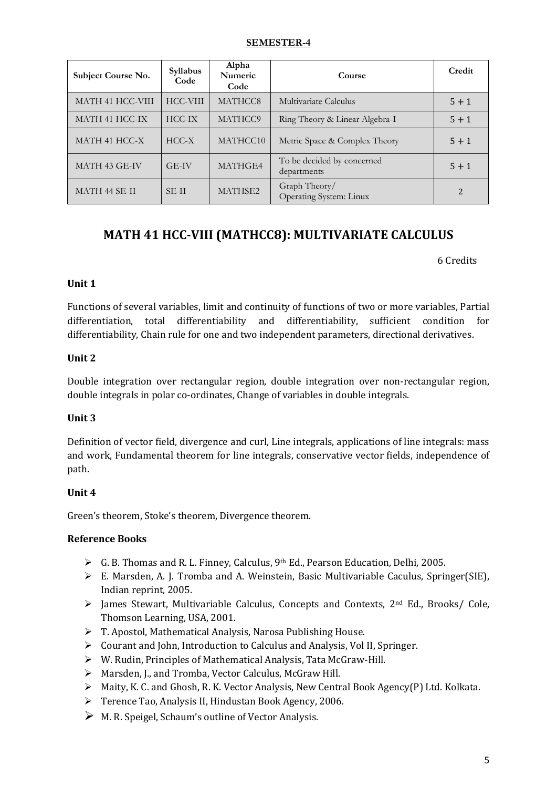#### **SEMESTER-4**

| Subject Course No.   | Syllabus<br>Code | Alpha<br>Numeric<br>Code | Course                                    | Credit  |
|----------------------|------------------|--------------------------|-------------------------------------------|---------|
| MATH 41 HCC-VIII     | <b>HCC-VIII</b>  | MATHCC8                  | Multivariate Calculus                     | $5 + 1$ |
| MATH 41 HCC-IX       | $HCC-IX$         | MATHCC9                  | Ring Theory & Linear Algebra-I            | $5 + 1$ |
| MATH 41 HCC-X        | $HCC-X$          | MATHCC10                 | Metric Space & Complex Theory             | $5 + 1$ |
| MATH 43 GE-IV        | GE-IV            | MATHGE4                  | To be decided by concerned<br>departments | $5 + 1$ |
| <b>MATH 44 SE-II</b> | <b>SE-II</b>     | MATHSE2                  | Graph Theory/<br>Operating System: Linux  |         |

### **MATH 41 HCC-VIII (MATHCC8): MULTIVARIATE CALCULUS**

6 Credits

#### **Unit 1**

Functions of several variables, limit and continuity of functions of two or more variables, Partial differentiation, total differentiability and differentiability, sufficient condition for differentiability, Chain rule for one and two independent parameters, directional derivatives.

#### **Unit 2**

Double integration over rectangular region, double integration over non-rectangular region, double integrals in polar co-ordinates, Change of variables in double integrals.

#### **Unit 3**

Definition of vector field, divergence and curl, Line integrals, applications of line integrals: mass and work, Fundamental theorem for line integrals, conservative vector fields, independence of path.

#### **Unit 4**

Green's theorem, Stoke's theorem, Divergence theorem.

- $\triangleright$  G. B. Thomas and R. L. Finney, Calculus, 9<sup>th</sup> Ed., Pearson Education, Delhi, 2005.
- $\triangleright$  E. Marsden, A. J. Tromba and A. Weinstein, Basic Multivariable Caculus, Springer(SIE), Indian reprint, 2005.
- $\triangleright$  James Stewart, Multivariable Calculus, Concepts and Contexts, 2<sup>nd</sup> Ed., Brooks/ Cole, Thomson Learning, USA, 2001.
- $\triangleright$  T. Apostol, Mathematical Analysis, Narosa Publishing House.
- Courant and John, Introduction to Calculus and Analysis, Vol II, Springer.
- W. Rudin, Principles of Mathematical Analysis, Tata McGraw-Hill.
- ▶ Marsden, J., and Tromba, Vector Calculus, McGraw Hill.
- $\triangleright$  Maity, K. C. and Ghosh, R. K. Vector Analysis, New Central Book Agency(P) Ltd. Kolkata.
- Terence Tao, Analysis II, Hindustan Book Agency, 2006.
- $\triangleright$  M. R. Speigel, Schaum's outline of Vector Analysis.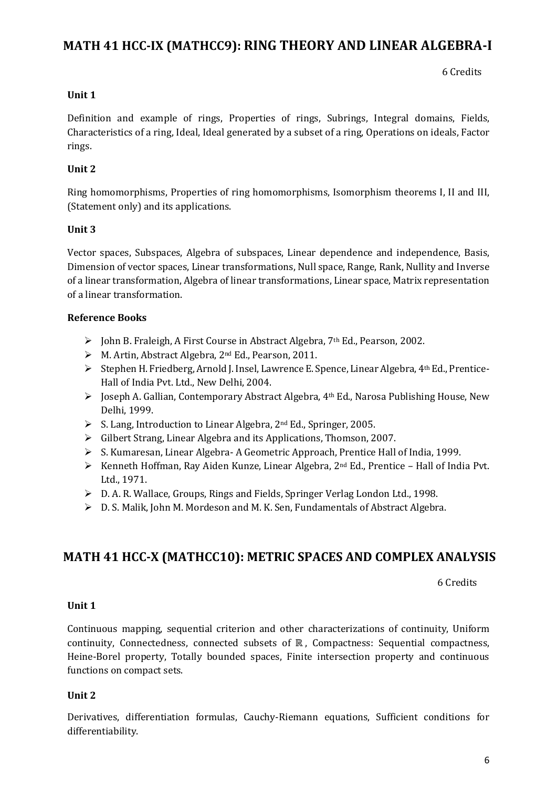### **MATH 41 HCC-IX (MATHCC9): RING THEORY AND LINEAR ALGEBRA-I**

6 Credits

#### **Unit 1**

Definition and example of rings, Properties of rings, Subrings, Integral domains, Fields, Characteristics of a ring, Ideal, Ideal generated by a subset of a ring, Operations on ideals, Factor rings.

#### **Unit 2**

Ring homomorphisms, Properties of ring homomorphisms, Isomorphism theorems I, II and III, (Statement only) and its applications.

#### **Unit 3**

Vector spaces, Subspaces, Algebra of subspaces, Linear dependence and independence, Basis, Dimension of vector spaces, Linear transformations, Null space, Range, Rank, Nullity and Inverse of a linear transformation, Algebra of linear transformations, Linear space, Matrix representation of a linear transformation.

#### **Reference Books**

- John B. Fraleigh, A First Course in Abstract Algebra, 7th Ed., Pearson, 2002.
- M. Artin, Abstract Algebra, 2nd Ed., Pearson, 2011.
- Stephen H. Friedberg, Arnold J. Insel, Lawrence E. Spence, Linear Algebra, 4th Ed., Prentice-Hall of India Pvt. Ltd., New Delhi, 2004.
- Joseph A. Gallian, Contemporary Abstract Algebra, 4th Ed., Narosa Publishing House, New Delhi, 1999.
- ▶ S. Lang, Introduction to Linear Algebra, 2<sup>nd</sup> Ed., Springer, 2005.
- $\triangleright$  Gilbert Strang, Linear Algebra and its Applications, Thomson, 2007.
- S. Kumaresan, Linear Algebra- A Geometric Approach, Prentice Hall of India, 1999.
- $\triangleright$  Kenneth Hoffman, Ray Aiden Kunze, Linear Algebra, 2<sup>nd</sup> Ed., Prentice Hall of India Pvt. Ltd., 1971.
- $\triangleright$  D. A. R. Wallace, Groups, Rings and Fields, Springer Verlag London Ltd., 1998.
- D. S. Malik, John M. Mordeson and M. K. Sen, Fundamentals of Abstract Algebra.

### **MATH 41 HCC-X (MATHCC10): METRIC SPACES AND COMPLEX ANALYSIS**

6 Credits

#### **Unit 1**

Continuous mapping, sequential criterion and other characterizations of continuity, Uniform continuity, Connectedness, connected subsets of ℝ , Compactness: Sequential compactness, Heine-Borel property, Totally bounded spaces, Finite intersection property and continuous functions on compact sets.

#### **Unit 2**

Derivatives, differentiation formulas, Cauchy-Riemann equations, Sufficient conditions for differentiability.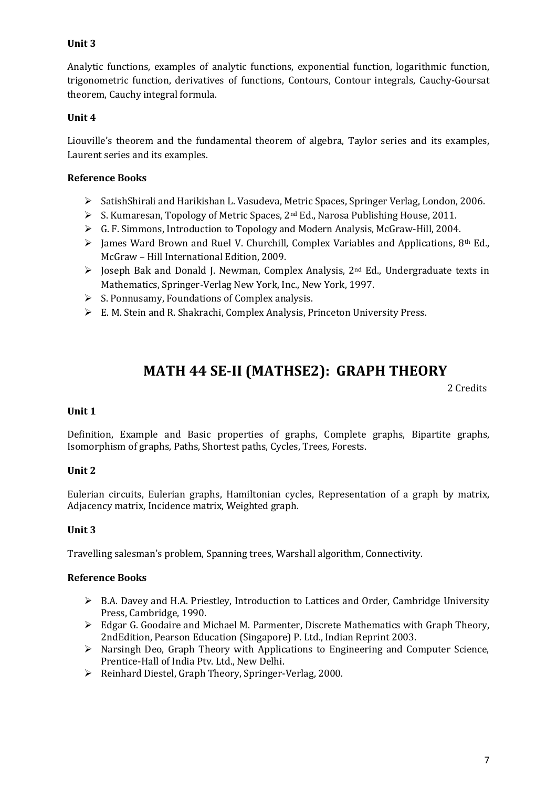#### **Unit 3**

Analytic functions, examples of analytic functions, exponential function, logarithmic function, trigonometric function, derivatives of functions, Contours, Contour integrals, Cauchy-Goursat theorem, Cauchy integral formula.

#### **Unit 4**

Liouville's theorem and the fundamental theorem of algebra, Taylor series and its examples, Laurent series and its examples.

#### **Reference Books**

- SatishShirali and Harikishan L. Vasudeva, Metric Spaces, Springer Verlag, London, 2006.
- S. Kumaresan, Topology of Metric Spaces, 2nd Ed., Narosa Publishing House, 2011.
- $\triangleright$  G. F. Simmons, Introduction to Topology and Modern Analysis, McGraw-Hill, 2004.
- $\triangleright$  James Ward Brown and Ruel V. Churchill, Complex Variables and Applications, 8<sup>th</sup> Ed., McGraw – Hill International Edition, 2009.
- $\triangleright$  Joseph Bak and Donald J. Newman, Complex Analysis, 2<sup>nd</sup> Ed., Undergraduate texts in Mathematics, Springer-Verlag New York, Inc., New York, 1997.
- $\triangleright$  S. Ponnusamy, Foundations of Complex analysis.
- E. M. Stein and R. Shakrachi, Complex Analysis, Princeton University Press.

# **MATH 44 SE-II (MATHSE2): GRAPH THEORY**

2 Credits

#### **Unit 1**

Definition, Example and Basic properties of graphs, Complete graphs, Bipartite graphs, Isomorphism of graphs, Paths, Shortest paths, Cycles, Trees, Forests.

#### **Unit 2**

Eulerian circuits, Eulerian graphs, Hamiltonian cycles, Representation of a graph by matrix, Adjacency matrix, Incidence matrix, Weighted graph.

#### **Unit 3**

Travelling salesman's problem, Spanning trees, Warshall algorithm, Connectivity.

- $\triangleright$  B.A. Davey and H.A. Priestley, Introduction to Lattices and Order, Cambridge University Press, Cambridge, 1990.
- Edgar G. Goodaire and Michael M. Parmenter, Discrete Mathematics with Graph Theory, 2ndEdition, Pearson Education (Singapore) P. Ltd., Indian Reprint 2003.
- Narsingh Deo, Graph Theory with Applications to Engineering and Computer Science, Prentice-Hall of India Ptv. Ltd., New Delhi.
- Reinhard Diestel, Graph Theory, Springer-Verlag, 2000.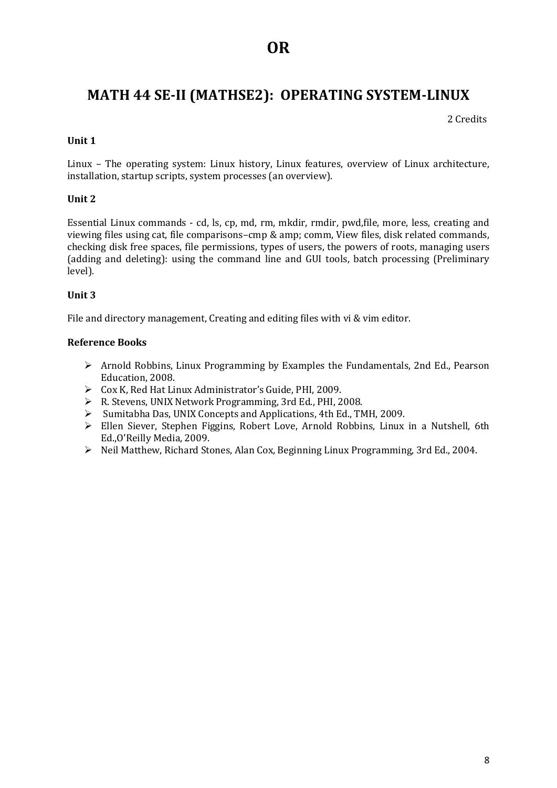# **MATH 44 SE-II (MATHSE2): OPERATING SYSTEM-LINUX**

2 Credits

#### **Unit 1**

Linux – The operating system: Linux history, Linux features, overview of Linux architecture, installation, startup scripts, system processes (an overview).

#### **Unit 2**

Essential Linux commands - cd, ls, cp, md, rm, mkdir, rmdir, pwd,file, more, less, creating and viewing files using cat, file comparisons–cmp & amp; comm, View files, disk related commands, checking disk free spaces, file permissions, types of users, the powers of roots, managing users (adding and deleting): using the command line and GUI tools, batch processing (Preliminary level).

#### **Unit 3**

File and directory management, Creating and editing files with vi & vim editor.

- $\triangleright$  Arnold Robbins, Linux Programming by Examples the Fundamentals, 2nd Ed., Pearson Education, 2008.
- Cox K, Red Hat Linux Administrator's Guide, PHI, 2009.
- R. Stevens, UNIX Network Programming, 3rd Ed., PHI, 2008.
- Sumitabha Das, UNIX Concepts and Applications, 4th Ed., TMH, 2009.
- Ellen Siever, Stephen Figgins, Robert Love, Arnold Robbins, Linux in a Nutshell, 6th Ed.,O'Reilly Media, 2009.
- $\triangleright$  Neil Matthew, Richard Stones, Alan Cox, Beginning Linux Programming, 3rd Ed., 2004.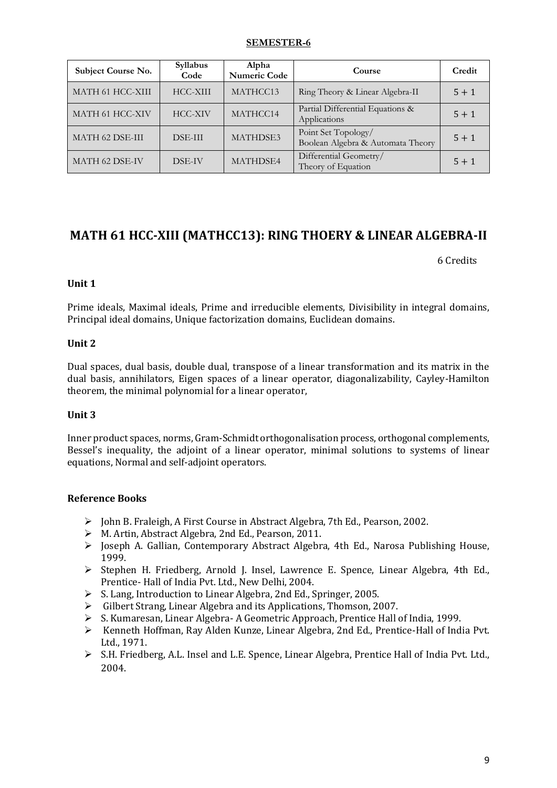#### **SEMESTER-6**

| Subject Course No.    | Syllabus<br>Code | Alpha<br>Numeric Code | Course                                                   | Credit  |
|-----------------------|------------------|-----------------------|----------------------------------------------------------|---------|
| MATH 61 HCC-XIII      | HCC-XIII         | MATHCC13              | Ring Theory & Linear Algebra-II                          | $5 + 1$ |
| MATH 61 HCC-XIV       | <b>HCC-XIV</b>   | MATHCC14              | Partial Differential Equations &<br>Applications         | $5 + 1$ |
| MATH 62 DSE-III       | <b>DSE-III</b>   | MATHDSE3              | Point Set Topology/<br>Boolean Algebra & Automata Theory | $5 + 1$ |
| <b>MATH 62 DSE-IV</b> | DSE-IV           | MATHDSE4              | Differential Geometry/<br>Theory of Equation             | $5 + 1$ |

### **MATH 61 HCC-XIII (MATHCC13): RING THOERY & LINEAR ALGEBRA-II**

6 Credits

#### **Unit 1**

Prime ideals, Maximal ideals, Prime and irreducible elements, Divisibility in integral domains, Principal ideal domains, Unique factorization domains, Euclidean domains.

#### **Unit 2**

Dual spaces, dual basis, double dual, transpose of a linear transformation and its matrix in the dual basis, annihilators, Eigen spaces of a linear operator, diagonalizability, Cayley-Hamilton theorem, the minimal polynomial for a linear operator,

#### **Unit 3**

Inner product spaces, norms, Gram-Schmidt orthogonalisation process, orthogonal complements, Bessel's inequality, the adjoint of a linear operator, minimal solutions to systems of linear equations, Normal and self-adjoint operators.

- $\triangleright$  John B. Fraleigh, A First Course in Abstract Algebra, 7th Ed., Pearson, 2002.
- M. Artin, Abstract Algebra, 2nd Ed., Pearson, 2011.
- Joseph A. Gallian, Contemporary Abstract Algebra, 4th Ed., Narosa Publishing House, 1999.
- $\triangleright$  Stephen H. Friedberg, Arnold J. Insel, Lawrence E. Spence, Linear Algebra, 4th Ed., Prentice- Hall of India Pvt. Ltd., New Delhi, 2004.
- S. Lang, Introduction to Linear Algebra, 2nd Ed., Springer, 2005.
- $\triangleright$  Gilbert Strang, Linear Algebra and its Applications, Thomson, 2007.
- S. Kumaresan, Linear Algebra- A Geometric Approach, Prentice Hall of India, 1999.
- $\triangleright$  Kenneth Hoffman, Ray Alden Kunze, Linear Algebra, 2nd Ed., Prentice-Hall of India Pvt. Ltd., 1971.
- S.H. Friedberg, A.L. Insel and L.E. Spence, Linear Algebra, Prentice Hall of India Pvt. Ltd., 2004.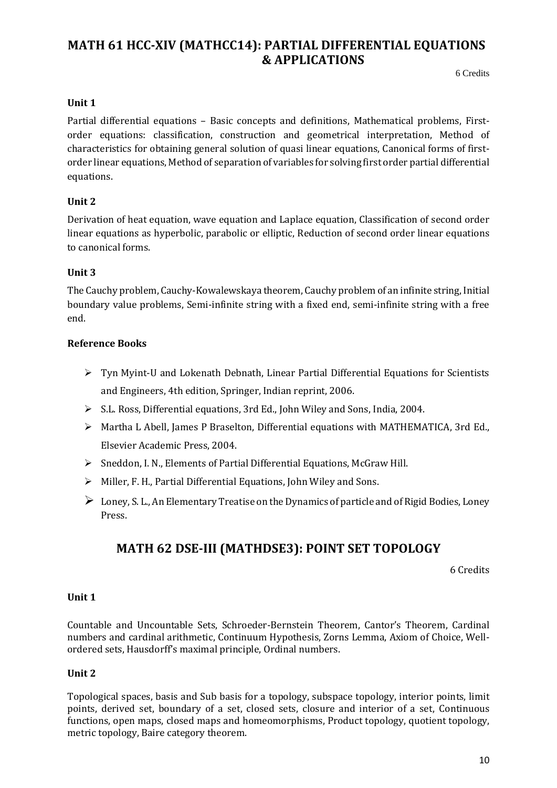### **MATH 61 HCC-XIV (MATHCC14): PARTIAL DIFFERENTIAL EQUATIONS & APPLICATIONS**s & Applications

6 Credits

#### **Unit 1**

Partial differential equations – Basic concepts and definitions, Mathematical problems, Firstorder equations: classification, construction and geometrical interpretation, Method of characteristics for obtaining general solution of quasi linear equations, Canonical forms of firstorder linear equations, Method of separation of variables for solving first order partial differential equations.

#### **Unit 2**

Derivation of heat equation, wave equation and Laplace equation, Classification of second order linear equations as hyperbolic, parabolic or elliptic, Reduction of second order linear equations to canonical forms.

#### **Unit 3**

The Cauchy problem, Cauchy-Kowalewskaya theorem, Cauchy problem of an infinite string, Initial boundary value problems, Semi-infinite string with a fixed end, semi-infinite string with a free end.

#### **Reference Books**

- $\triangleright$  Tyn Myint-U and Lokenath Debnath, Linear Partial Differential Equations for Scientists and Engineers, 4th edition, Springer, Indian reprint, 2006.
- S.L. Ross, Differential equations, 3rd Ed., John Wiley and Sons, India, 2004.
- $\triangleright$  Martha L Abell, James P Braselton, Differential equations with MATHEMATICA, 3rd Ed., Elsevier Academic Press, 2004.
- Sneddon, I. N., Elements of Partial Differential Equations, McGraw Hill.
- $\triangleright$  Miller, F. H., Partial Differential Equations, John Wiley and Sons.
- $\triangleright$  Loney, S. L., An Elementary Treatise on the Dynamics of particle and of Rigid Bodies, Loney Press.

### **MATH 62 DSE-III (MATHDSE3): POINT SET TOPOLOGY**

6 Credits

#### **Unit 1**

Countable and Uncountable Sets, Schroeder-Bernstein Theorem, Cantor's Theorem, Cardinal numbers and cardinal arithmetic, Continuum Hypothesis, Zorns Lemma, Axiom of Choice, Wellordered sets, Hausdorff's maximal principle, Ordinal numbers.

#### **Unit 2**

Topological spaces, basis and Sub basis for a topology, subspace topology, interior points, limit points, derived set, boundary of a set, closed sets, closure and interior of a set, Continuous functions, open maps, closed maps and homeomorphisms, Product topology, quotient topology, metric topology, Baire category theorem.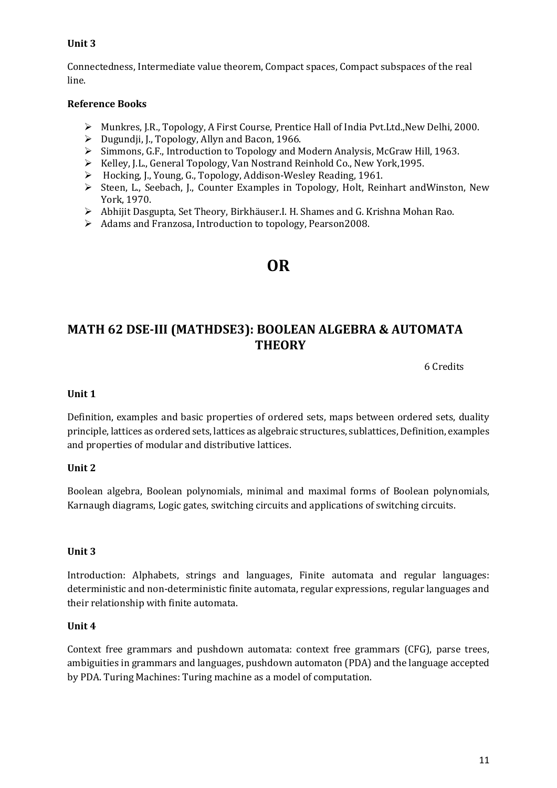#### **Unit 3**

Connectedness, Intermediate value theorem, Compact spaces, Compact subspaces of the real line.

#### **Reference Books**

- Munkres, J.R., Topology, A First Course, Prentice Hall of India Pvt.Ltd.,New Delhi, 2000.
- $\triangleright$  Dugundji, J., Topology, Allyn and Bacon, 1966.
- Simmons, G.F., Introduction to Topology and Modern Analysis, McGraw Hill, 1963.
- ▶ Kelley, J.L., General Topology, Van Nostrand Reinhold Co., New York, 1995.
- Hocking, J., Young, G., Topology, Addison-Wesley Reading, 1961.
- $\triangleright$  Steen, L., Seebach, J., Counter Examples in Topology, Holt, Reinhart andWinston, New York, 1970.
- Abhijit Dasgupta, Set Theory, Birkhäuser.I. H. Shames and G. Krishna Mohan Rao.
- Adams and Franzosa, Introduction to topology, Pearson2008.

# **OR**

### **MATH 62 DSE-III (MATHDSE3): BOOLEAN ALGEBRA & AUTOMATA THEORY**

6 Credits

#### **Unit 1**

Definition, examples and basic properties of ordered sets, maps between ordered sets, duality principle, lattices as ordered sets, lattices as algebraic structures, sublattices,Definition, examples and properties of modular and distributive lattices.

#### **Unit 2**

Boolean algebra, Boolean polynomials, minimal and maximal forms of Boolean polynomials, Karnaugh diagrams, Logic gates, switching circuits and applications of switching circuits.

#### **Unit 3**

Introduction: Alphabets, strings and languages, Finite automata and regular languages: deterministic and non-deterministic finite automata, regular expressions, regular languages and their relationship with finite automata.

#### **Unit 4**

Context free grammars and pushdown automata: context free grammars (CFG), parse trees, ambiguities in grammars and languages, pushdown automaton (PDA) and the language accepted by PDA. Turing Machines: Turing machine as a model of computation.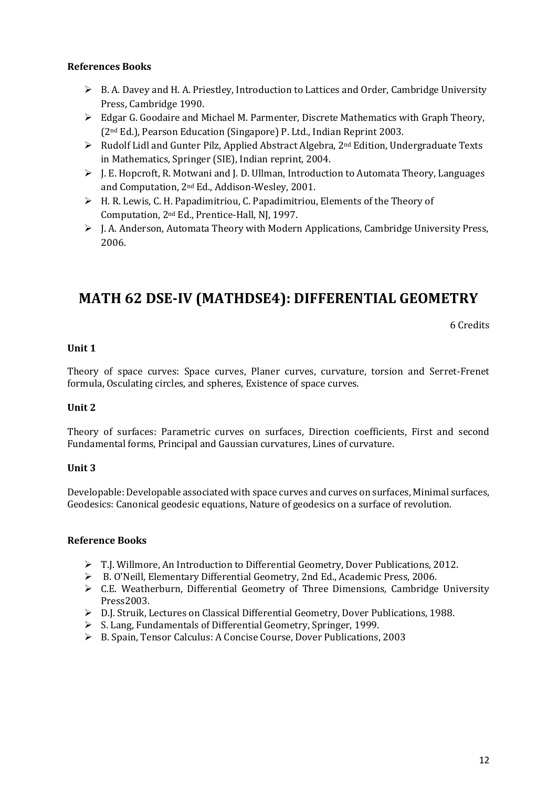#### **References Books**

- $\triangleright$  B. A. Davey and H. A. Priestley, Introduction to Lattices and Order, Cambridge University Press, Cambridge 1990.
- Edgar G. Goodaire and Michael M. Parmenter, Discrete Mathematics with Graph Theory, (2nd Ed.), Pearson Education (Singapore) P. Ltd., Indian Reprint 2003.
- $\triangleright$  Rudolf Lidl and Gunter Pilz, Applied Abstract Algebra, 2<sup>nd</sup> Edition, Undergraduate Texts in Mathematics, Springer (SIE), Indian reprint, 2004.
- $\triangleright$  I. E. Hopcroft, R. Motwani and J. D. Ullman, Introduction to Automata Theory, Languages and Computation, 2nd Ed., Addison-Wesley, 2001.
- $\triangleright$  H. R. Lewis, C. H. Papadimitriou, C. Papadimitriou, Elements of the Theory of Computation, 2nd Ed., Prentice-Hall, NJ, 1997.
- $\triangleright$  J. A. Anderson, Automata Theory with Modern Applications, Cambridge University Press, 2006.

# **MATH 62 DSE-IV (MATHDSE4): DIFFERENTIAL GEOMETRY**

6 Credits

#### **Unit 1**

Theory of space curves: Space curves, Planer curves, curvature, torsion and Serret-Frenet formula, Osculating circles, and spheres, Existence of space curves.

#### **Unit 2**

Theory of surfaces: Parametric curves on surfaces, Direction coefficients, First and second Fundamental forms, Principal and Gaussian curvatures, Lines of curvature.

#### **Unit 3**

Developable: Developable associated with space curves and curves on surfaces, Minimal surfaces, Geodesics: Canonical geodesic equations, Nature of geodesics on a surface of revolution.

- T.J. Willmore, An Introduction to Differential Geometry, Dover Publications, 2012.
- B. O'Neill, Elementary Differential Geometry, 2nd Ed., Academic Press, 2006.
- C.E. Weatherburn, Differential Geometry of Three Dimensions, Cambridge University Press2003.
- D.J. Struik, Lectures on Classical Differential Geometry, Dover Publications, 1988.
- S. Lang, Fundamentals of Differential Geometry, Springer, 1999.
- B. Spain, Tensor Calculus: A Concise Course, Dover Publications, 2003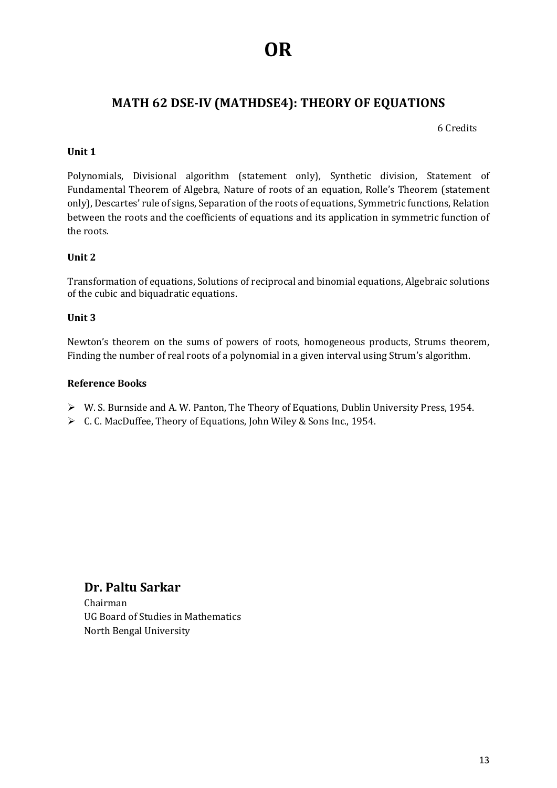# **OR**

### **MATH 62 DSE-IV (MATHDSE4): THEORY OF EQUATIONS**

6 Credits

#### **Unit 1**

Polynomials, Divisional algorithm (statement only), Synthetic division, Statement of Fundamental Theorem of Algebra, Nature of roots of an equation, Rolle's Theorem (statement only), Descartes' rule of signs, Separation of the roots of equations, Symmetric functions, Relation between the roots and the coefficients of equations and its application in symmetric function of the roots.

#### **Unit 2**

Transformation of equations, Solutions of reciprocal and binomial equations, Algebraic solutions of the cubic and biquadratic equations.

#### **Unit 3**

Newton's theorem on the sums of powers of roots, homogeneous products, Strums theorem, Finding the number of real roots of a polynomial in a given interval using Strum's algorithm.

#### **Reference Books**

- W. S. Burnside and A. W. Panton, The Theory of Equations, Dublin University Press, 1954.
- C. C. MacDuffee, Theory of Equations, John Wiley & Sons Inc., 1954.

### **Dr. Paltu Sarkar**

Chairman UG Board of Studies in Mathematics North Bengal University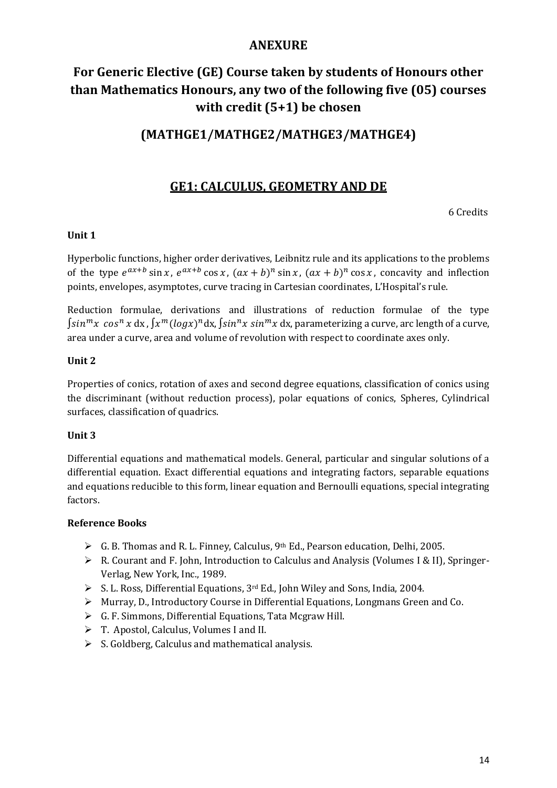### **ANEXURE**

# **For Generic Elective (GE) Course taken by students of Honours other than Mathematics Honours, any two of the following five (05) courses with credit (5+1) be chosen**

### **(MATHGE1/MATHGE2/MATHGE3/MATHGE4)**

### **GE1: CALCULUS, GEOMETRY AND DE**

6 Credits

#### **Unit 1**

Hyperbolic functions, higher order derivatives, Leibnitz rule and its applications to the problems of the type  $e^{ax+b}$  sin x,  $e^{ax+b}$  cos x,  $(ax + b)^n$  sin x,  $(ax + b)^n$  cos x, concavity and inflection points, envelopes, asymptotes, curve tracing in Cartesian coordinates, L'Hospital's rule.

Reduction formulae, derivations and illustrations of reduction formulae of the type  $\int sin^{m}x \cos^{n}x \, dx$  ,  $\int x^{m}(log x)^{n}dx$  ,  $\int sin^{n}x \sin^{m}x \, dx$ , parameterizing a curve, arc length of a curve, area under a curve, area and volume of revolution with respect to coordinate axes only.

#### **Unit 2**

Properties of conics, rotation of axes and second degree equations, classification of conics using the discriminant (without reduction process), polar equations of conics, Spheres, Cylindrical surfaces, classification of quadrics.

#### **Unit 3**

Differential equations and mathematical models. General, particular and singular solutions of a differential equation. Exact differential equations and integrating factors, separable equations and equations reducible to this form, linear equation and Bernoulli equations, special integrating factors.

- G. B. Thomas and R. L. Finney, Calculus, 9th Ed., Pearson education, Delhi, 2005.
- R. Courant and F. John, Introduction to Calculus and Analysis (Volumes I & II), Springer-Verlag, New York, Inc., 1989.
- S. L. Ross, Differential Equations, 3rd Ed., John Wiley and Sons, India, 2004.
- $\triangleright$  Murray, D., Introductory Course in Differential Equations, Longmans Green and Co.
- G. F. Simmons, Differential Equations, Tata Mcgraw Hill.
- T. Apostol, Calculus, Volumes I and II.
- $\triangleright$  S. Goldberg, Calculus and mathematical analysis.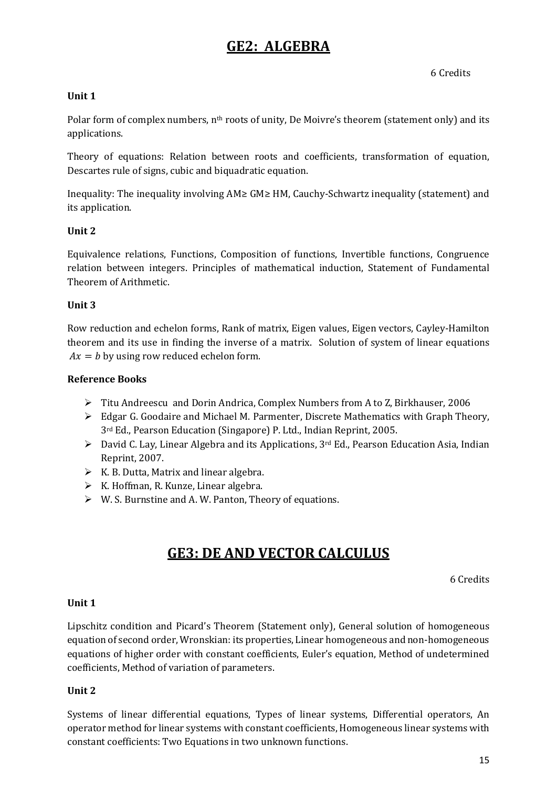# **GE2: ALGEBRA**

6 Credits

#### **Unit 1**

Polar form of complex numbers, n<sup>th</sup> roots of unity, De Moivre's theorem (statement only) and its applications.

Theory of equations: Relation between roots and coefficients, transformation of equation, Descartes rule of signs, cubic and biquadratic equation.

Inequality: The inequality involving AM≥ GM≥ HM, Cauchy-Schwartz inequality (statement) and its application.

#### **Unit 2**

Equivalence relations, Functions, Composition of functions, Invertible functions, Congruence relation between integers. Principles of mathematical induction, Statement of Fundamental Theorem of Arithmetic.

#### **Unit 3**

Row reduction and echelon forms, Rank of matrix, Eigen values, Eigen vectors, Cayley-Hamilton theorem and its use in finding the inverse of a matrix. Solution of system of linear equations  $Ax = b$  by using row reduced echelon form.

#### **Reference Books**

- Titu Andreescu and Dorin Andrica, Complex Numbers from A to Z, Birkhauser, 2006
- Edgar G. Goodaire and Michael M. Parmenter, Discrete Mathematics with Graph Theory, 3rd Ed., Pearson Education (Singapore) P. Ltd., Indian Reprint, 2005.
- $\triangleright$  David C. Lay, Linear Algebra and its Applications, 3<sup>rd</sup> Ed., Pearson Education Asia, Indian Reprint, 2007.
- $\triangleright$  K. B. Dutta, Matrix and linear algebra.
- $\triangleright$  K. Hoffman, R. Kunze, Linear algebra.
- W. S. Burnstine and A. W. Panton, Theory of equations.

# **GE3: DE AND VECTOR CALCULUS**

6 Credits

#### **Unit 1**

Lipschitz condition and Picard's Theorem (Statement only), General solution of homogeneous equation of second order, Wronskian: its properties, Linear homogeneous and non-homogeneous equations of higher order with constant coefficients, Euler's equation, Method of undetermined coefficients, Method of variation of parameters.

#### **Unit 2**

Systems of linear differential equations, Types of linear systems, Differential operators, An operator method for linear systems with constant coefficients, Homogeneous linear systems with constant coefficients: Two Equations in two unknown functions.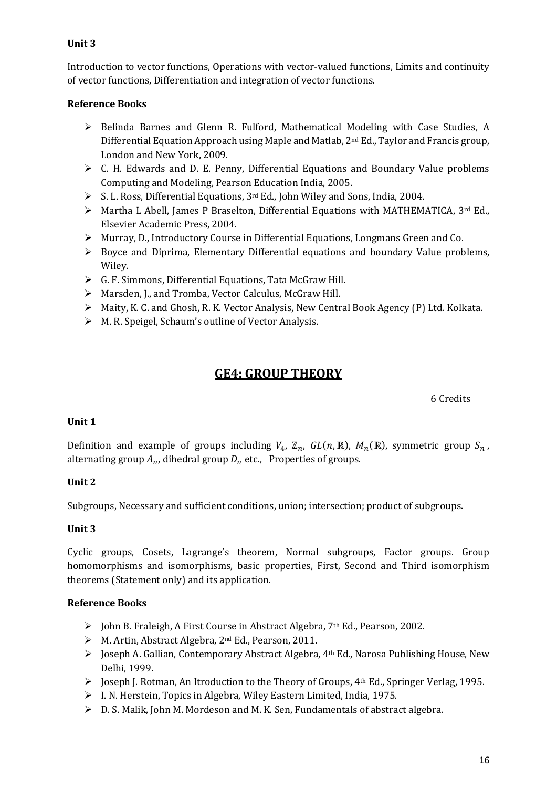#### **Unit 3**

Introduction to vector functions, Operations with vector-valued functions, Limits and continuity of vector functions, Differentiation and integration of vector functions.

#### **Reference Books**

- $\triangleright$  Belinda Barnes and Glenn R. Fulford, Mathematical Modeling with Case Studies, A Differential Equation Approach using Maple and Matlab, 2nd Ed., Taylor and Francis group, London and New York, 2009.
- C. H. Edwards and D. E. Penny, Differential Equations and Boundary Value problems Computing and Modeling, Pearson Education India, 2005.
- S. L. Ross, Differential Equations, 3rd Ed., John Wiley and Sons, India, 2004.
- $\triangleright$  Martha L Abell, James P Braselton, Differential Equations with MATHEMATICA, 3<sup>rd</sup> Ed., Elsevier Academic Press, 2004.
- Murray, D., Introductory Course in Differential Equations, Longmans Green and Co.
- $\triangleright$  Boyce and Diprima, Elementary Differential equations and boundary Value problems, Wiley.
- $\triangleright$  G. F. Simmons, Differential Equations, Tata McGraw Hill.
- Marsden, J., and Tromba, Vector Calculus, McGraw Hill.
- Maity, K. C. and Ghosh, R. K. Vector Analysis, New Central Book Agency (P) Ltd. Kolkata.
- M. R. Speigel, Schaum's outline of Vector Analysis.

### **GE4: GROUP THEORY**

6 Credits

#### **Unit 1**

Definition and example of groups including  $V_4$ ,  $\mathbb{Z}_n$ ,  $GL(n,\mathbb{R})$ ,  $M_n(\mathbb{R})$ , symmetric group  $S_n$ , alternating group  $A_n$ , dihedral group  $D_n$  etc., Properties of groups.

#### **Unit 2**

Subgroups, Necessary and sufficient conditions, union; intersection; product of subgroups.

#### **Unit 3**

Cyclic groups, Cosets, Lagrange's theorem, Normal subgroups, Factor groups. Group homomorphisms and isomorphisms, basic properties, First, Second and Third isomorphism theorems (Statement only) and its application.

- ▶ John B. Fraleigh, A First Course in Abstract Algebra, 7<sup>th</sup> Ed., Pearson, 2002.
- M. Artin, Abstract Algebra, 2nd Ed., Pearson, 2011.
- $\triangleright$  Joseph A. Gallian, Contemporary Abstract Algebra, 4<sup>th</sup> Ed., Narosa Publishing House, New Delhi, 1999.
- $\triangleright$  Joseph J. Rotman, An Itroduction to the Theory of Groups, 4<sup>th</sup> Ed., Springer Verlag, 1995.
- I. N. Herstein, Topics in Algebra, Wiley Eastern Limited, India, 1975.
- $\triangleright$  D. S. Malik, John M. Mordeson and M. K. Sen, Fundamentals of abstract algebra.